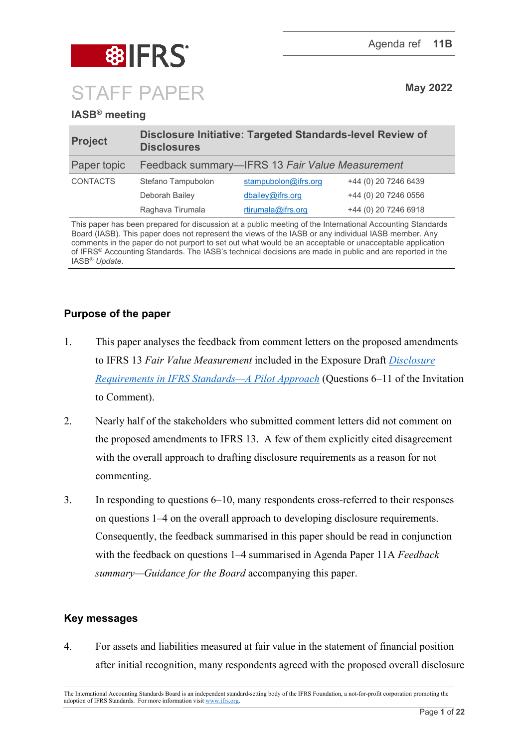

# **IASB® meeting**

| <b>Project</b>  | <b>Disclosure Initiative: Targeted Standards-level Review of</b><br><b>Disclosures</b> |                      |                      |
|-----------------|----------------------------------------------------------------------------------------|----------------------|----------------------|
| Paper topic     | Feedback summary-IFRS 13 Fair Value Measurement                                        |                      |                      |
| <b>CONTACTS</b> | Stefano Tampubolon                                                                     | stampubolon@ifrs.org | +44 (0) 20 7246 6439 |
|                 | Deborah Bailey                                                                         | dbailey@ifrs.org     | +44 (0) 20 7246 0556 |
|                 | Raghava Tirumala                                                                       | rtirumala@ifrs.org   | +44 (0) 20 7246 6918 |

This paper has been prepared for discussion at a public meeting of the International Accounting Standards Board (IASB). This paper does not represent the views of the IASB or any individual IASB member. Any comments in the paper do not purport to set out what would be an acceptable or unacceptable application of IFRS® Accounting Standards. The IASB's technical decisions are made in public and are reported in the IASB® *Update*.

# **Purpose of the paper**

- 1. This paper analyses the feedback from comment letters on the proposed amendments to IFRS 13 *Fair Value Measurement* included in the Exposure Draft *[Disclosure](https://www.ifrs.org/content/dam/ifrs/project/disclosure-initative/disclosure-initiative-principles-of-disclosure/ed2021-3-di-tslr.pdf)  [Requirements in IFRS Standards—A Pilot Approach](https://www.ifrs.org/content/dam/ifrs/project/disclosure-initative/disclosure-initiative-principles-of-disclosure/ed2021-3-di-tslr.pdf)* (Questions 6–11 of the Invitation to Comment).
- 2. Nearly half of the stakeholders who submitted comment letters did not comment on the proposed amendments to IFRS 13. A few of them explicitly cited disagreement with the overall approach to drafting disclosure requirements as a reason for not commenting.
- 3. In responding to questions 6–10, many respondents cross-referred to their responses on questions 1–4 on the overall approach to developing disclosure requirements. Consequently, the feedback summarised in this paper should be read in conjunction with the feedback on questions 1–4 summarised in Agenda Paper 11A *Feedback summary—Guidance for the Board* accompanying this paper.

# **Key messages**

4. For assets and liabilities measured at fair value in the statement of financial position after initial recognition, many respondents agreed with the proposed overall disclosure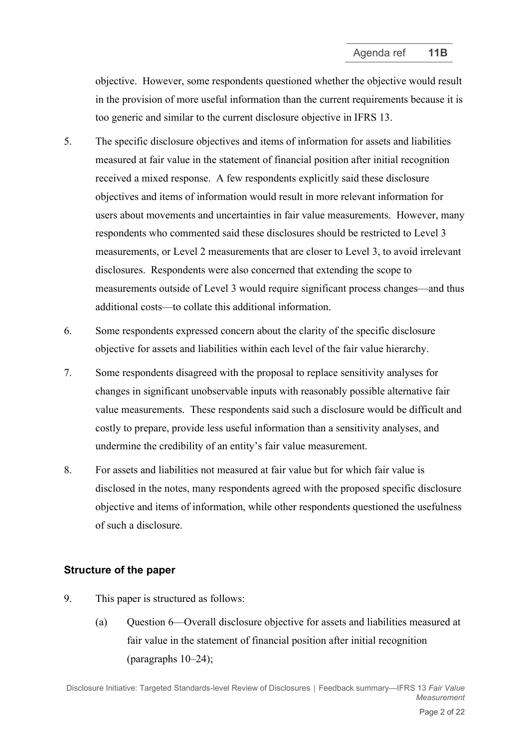objective. However, some respondents questioned whether the objective would result in the provision of more useful information than the current requirements because it is too generic and similar to the current disclosure objective in IFRS 13.

- 5. The specific disclosure objectives and items of information for assets and liabilities measured at fair value in the statement of financial position after initial recognition received a mixed response. A few respondents explicitly said these disclosure objectives and items of information would result in more relevant information for users about movements and uncertainties in fair value measurements. However, many respondents who commented said these disclosures should be restricted to Level 3 measurements, or Level 2 measurements that are closer to Level 3, to avoid irrelevant disclosures. Respondents were also concerned that extending the scope to measurements outside of Level 3 would require significant process changes—and thus additional costs—to collate this additional information.
- 6. Some respondents expressed concern about the clarity of the specific disclosure objective for assets and liabilities within each level of the fair value hierarchy.
- 7. Some respondents disagreed with the proposal to replace sensitivity analyses for changes in significant unobservable inputs with reasonably possible alternative fair value measurements. These respondents said such a disclosure would be difficult and costly to prepare, provide less useful information than a sensitivity analyses, and undermine the credibility of an entity's fair value measurement.
- 8. For assets and liabilities not measured at fair value but for which fair value is disclosed in the notes, many respondents agreed with the proposed specific disclosure objective and items of information, while other respondents questioned the usefulness of such a disclosure.

# **Structure of the paper**

- 9. This paper is structured as follows:
	- (a) Question 6—Overall disclosure objective for assets and liabilities measured at fair value in the statement of financial position after initial recognition (paragraphs [10](#page-2-0)[–24\)](#page-5-0);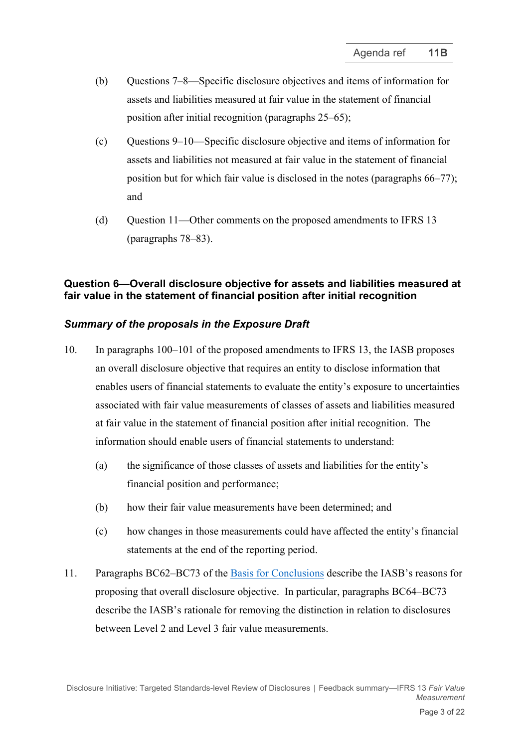- (b) Questions 7–8—Specific disclosure objectives and items of information for assets and liabilities measured at fair value in the statement of financial position after initial recognition (paragraphs [25–](#page-5-1)[65\)](#page-15-0);
- (c) Questions 9–10—Specific disclosure objective and items of information for assets and liabilities not measured at fair value in the statement of financial position but for which fair value is disclosed in the notes (paragraphs [66](#page-15-1)[–77\)](#page-19-0); and
- (d) Question 11—Other comments on the proposed amendments to IFRS 13 (paragraphs [78](#page-19-1)[–83\)](#page-20-0).

# **Question 6—Overall disclosure objective for assets and liabilities measured at fair value in the statement of financial position after initial recognition**

# *Summary of the proposals in the Exposure Draft*

- <span id="page-2-0"></span>10. In paragraphs 100–101 of the proposed amendments to IFRS 13, the IASB proposes an overall disclosure objective that requires an entity to disclose information that enables users of financial statements to evaluate the entity's exposure to uncertainties associated with fair value measurements of classes of assets and liabilities measured at fair value in the statement of financial position after initial recognition. The information should enable users of financial statements to understand:
	- (a) the significance of those classes of assets and liabilities for the entity's financial position and performance;
	- (b) how their fair value measurements have been determined; and
	- (c) how changes in those measurements could have affected the entity's financial statements at the end of the reporting period.
- 11. Paragraphs BC62–BC73 of the [Basis for Conclusions](https://www.ifrs.org/content/dam/ifrs/project/disclosure-initative/disclosure-initiative-principles-of-disclosure/ed2021-3-bc-di-tslr.pdf) describe the IASB's reasons for proposing that overall disclosure objective. In particular, paragraphs BC64–BC73 describe the IASB's rationale for removing the distinction in relation to disclosures between Level 2 and Level 3 fair value measurements.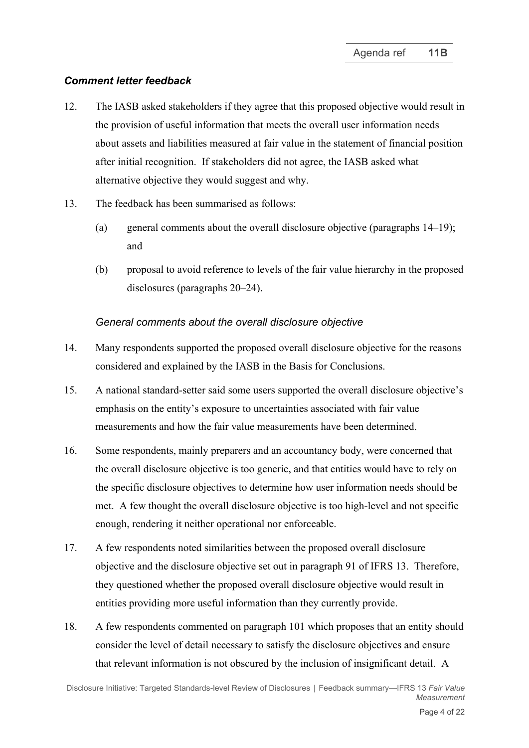# *Comment letter feedback*

- 12. The IASB asked stakeholders if they agree that this proposed objective would result in the provision of useful information that meets the overall user information needs about assets and liabilities measured at fair value in the statement of financial position after initial recognition. If stakeholders did not agree, the IASB asked what alternative objective they would suggest and why.
- 13. The feedback has been summarised as follows:
	- (a) general comments about the overall disclosure objective (paragraphs [14–](#page-3-0)[19\)](#page-4-0); and
	- (b) proposal to avoid reference to levels of the fair value hierarchy in the proposed disclosures (paragraphs [20–](#page-4-1)[24\)](#page-5-0).

### *General comments about the overall disclosure objective*

- <span id="page-3-0"></span>14. Many respondents supported the proposed overall disclosure objective for the reasons considered and explained by the IASB in the Basis for Conclusions.
- 15. A national standard-setter said some users supported the overall disclosure objective's emphasis on the entity's exposure to uncertainties associated with fair value measurements and how the fair value measurements have been determined.
- 16. Some respondents, mainly preparers and an accountancy body, were concerned that the overall disclosure objective is too generic, and that entities would have to rely on the specific disclosure objectives to determine how user information needs should be met. A few thought the overall disclosure objective is too high-level and not specific enough, rendering it neither operational nor enforceable.
- 17. A few respondents noted similarities between the proposed overall disclosure objective and the disclosure objective set out in paragraph 91 of IFRS 13. Therefore, they questioned whether the proposed overall disclosure objective would result in entities providing more useful information than they currently provide.
- 18. A few respondents commented on paragraph 101 which proposes that an entity should consider the level of detail necessary to satisfy the disclosure objectives and ensure that relevant information is not obscured by the inclusion of insignificant detail. A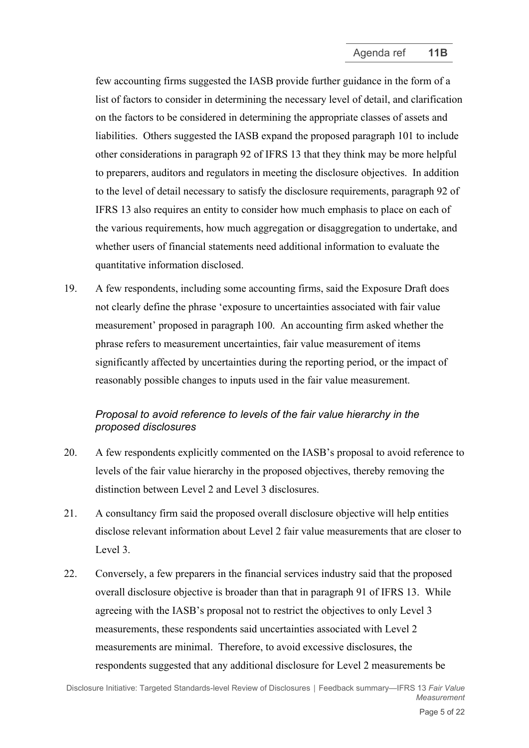few accounting firms suggested the IASB provide further guidance in the form of a list of factors to consider in determining the necessary level of detail, and clarification on the factors to be considered in determining the appropriate classes of assets and liabilities. Others suggested the IASB expand the proposed paragraph 101 to include other considerations in paragraph 92 of IFRS 13 that they think may be more helpful to preparers, auditors and regulators in meeting the disclosure objectives. In addition to the level of detail necessary to satisfy the disclosure requirements, paragraph 92 of IFRS 13 also requires an entity to consider how much emphasis to place on each of the various requirements, how much aggregation or disaggregation to undertake, and whether users of financial statements need additional information to evaluate the quantitative information disclosed.

<span id="page-4-0"></span>19. A few respondents, including some accounting firms, said the Exposure Draft does not clearly define the phrase 'exposure to uncertainties associated with fair value measurement' proposed in paragraph 100. An accounting firm asked whether the phrase refers to measurement uncertainties, fair value measurement of items significantly affected by uncertainties during the reporting period, or the impact of reasonably possible changes to inputs used in the fair value measurement.

# *Proposal to avoid reference to levels of the fair value hierarchy in the proposed disclosures*

- <span id="page-4-1"></span>20. A few respondents explicitly commented on the IASB's proposal to avoid reference to levels of the fair value hierarchy in the proposed objectives, thereby removing the distinction between Level 2 and Level 3 disclosures.
- 21. A consultancy firm said the proposed overall disclosure objective will help entities disclose relevant information about Level 2 fair value measurements that are closer to Level 3.
- 22. Conversely, a few preparers in the financial services industry said that the proposed overall disclosure objective is broader than that in paragraph 91 of IFRS 13. While agreeing with the IASB's proposal not to restrict the objectives to only Level 3 measurements, these respondents said uncertainties associated with Level 2 measurements are minimal. Therefore, to avoid excessive disclosures, the respondents suggested that any additional disclosure for Level 2 measurements be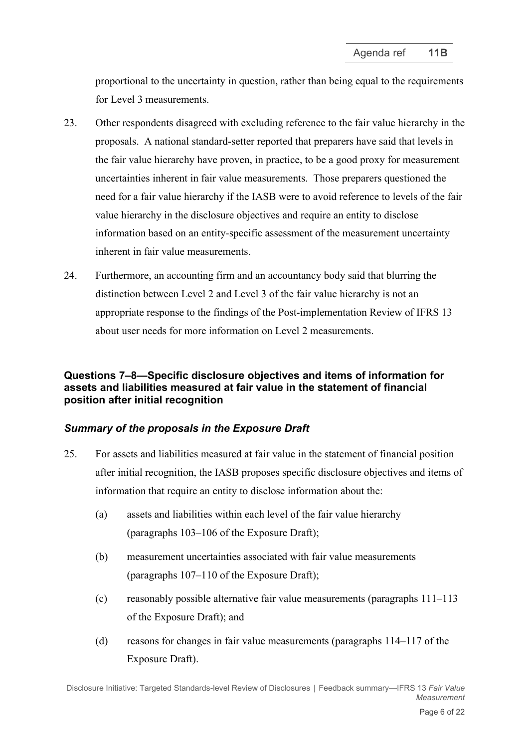proportional to the uncertainty in question, rather than being equal to the requirements for Level 3 measurements.

- 23. Other respondents disagreed with excluding reference to the fair value hierarchy in the proposals. A national standard-setter reported that preparers have said that levels in the fair value hierarchy have proven, in practice, to be a good proxy for measurement uncertainties inherent in fair value measurements. Those preparers questioned the need for a fair value hierarchy if the IASB were to avoid reference to levels of the fair value hierarchy in the disclosure objectives and require an entity to disclose information based on an entity-specific assessment of the measurement uncertainty inherent in fair value measurements.
- <span id="page-5-0"></span>24. Furthermore, an accounting firm and an accountancy body said that blurring the distinction between Level 2 and Level 3 of the fair value hierarchy is not an appropriate response to the findings of the Post-implementation Review of IFRS 13 about user needs for more information on Level 2 measurements.

# **Questions 7–8—Specific disclosure objectives and items of information for assets and liabilities measured at fair value in the statement of financial position after initial recognition**

# *Summary of the proposals in the Exposure Draft*

- <span id="page-5-1"></span>25. For assets and liabilities measured at fair value in the statement of financial position after initial recognition, the IASB proposes specific disclosure objectives and items of information that require an entity to disclose information about the:
	- (a) assets and liabilities within each level of the fair value hierarchy (paragraphs 103–106 of the Exposure Draft);
	- (b) measurement uncertainties associated with fair value measurements (paragraphs 107–110 of the Exposure Draft);
	- (c) reasonably possible alternative fair value measurements (paragraphs 111–113 of the Exposure Draft); and
	- (d) reasons for changes in fair value measurements (paragraphs 114–117 of the Exposure Draft).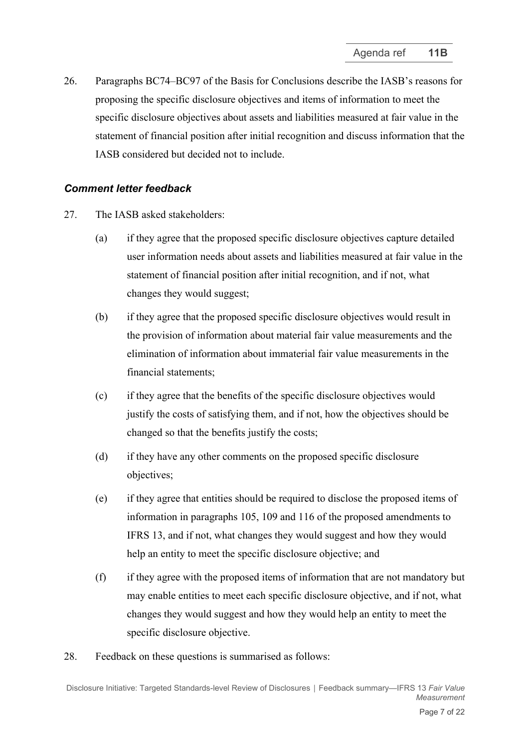26. Paragraphs BC74–BC97 of the Basis for Conclusions describe the IASB's reasons for proposing the specific disclosure objectives and items of information to meet the specific disclosure objectives about assets and liabilities measured at fair value in the statement of financial position after initial recognition and discuss information that the IASB considered but decided not to include.

# *Comment letter feedback*

- 27. The IASB asked stakeholders:
	- (a) if they agree that the proposed specific disclosure objectives capture detailed user information needs about assets and liabilities measured at fair value in the statement of financial position after initial recognition, and if not, what changes they would suggest;
	- (b) if they agree that the proposed specific disclosure objectives would result in the provision of information about material fair value measurements and the elimination of information about immaterial fair value measurements in the financial statements;
	- (c) if they agree that the benefits of the specific disclosure objectives would justify the costs of satisfying them, and if not, how the objectives should be changed so that the benefits justify the costs;
	- (d) if they have any other comments on the proposed specific disclosure objectives;
	- (e) if they agree that entities should be required to disclose the proposed items of information in paragraphs 105, 109 and 116 of the proposed amendments to IFRS 13, and if not, what changes they would suggest and how they would help an entity to meet the specific disclosure objective; and
	- (f) if they agree with the proposed items of information that are not mandatory but may enable entities to meet each specific disclosure objective, and if not, what changes they would suggest and how they would help an entity to meet the specific disclosure objective.
- 28. Feedback on these questions is summarised as follows: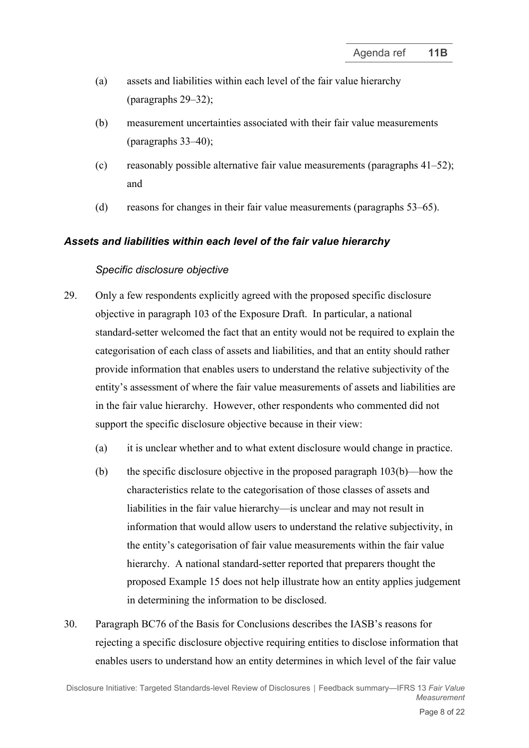- (a) assets and liabilities within each level of the fair value hierarchy (paragraphs [29](#page-7-0)[–32\)](#page-8-0);
- (b) measurement uncertainties associated with their fair value measurements (paragraphs [33](#page-8-1)[–40\)](#page-10-0);
- (c) reasonably possible alternative fair value measurements (paragraphs  $41-52$ ); and
- (d) reasons for changes in their fair value measurements (paragraphs [53–](#page-13-1)[65\)](#page-15-0).

### *Assets and liabilities within each level of the fair value hierarchy*

### *Specific disclosure objective*

- <span id="page-7-0"></span>29. Only a few respondents explicitly agreed with the proposed specific disclosure objective in paragraph 103 of the Exposure Draft. In particular, a national standard-setter welcomed the fact that an entity would not be required to explain the categorisation of each class of assets and liabilities, and that an entity should rather provide information that enables users to understand the relative subjectivity of the entity's assessment of where the fair value measurements of assets and liabilities are in the fair value hierarchy. However, other respondents who commented did not support the specific disclosure objective because in their view:
	- (a) it is unclear whether and to what extent disclosure would change in practice.
	- (b) the specific disclosure objective in the proposed paragraph 103(b)—how the characteristics relate to the categorisation of those classes of assets and liabilities in the fair value hierarchy—is unclear and may not result in information that would allow users to understand the relative subjectivity, in the entity's categorisation of fair value measurements within the fair value hierarchy. A national standard-setter reported that preparers thought the proposed Example 15 does not help illustrate how an entity applies judgement in determining the information to be disclosed.
- 30. Paragraph BC76 of the Basis for Conclusions describes the IASB's reasons for rejecting a specific disclosure objective requiring entities to disclose information that enables users to understand how an entity determines in which level of the fair value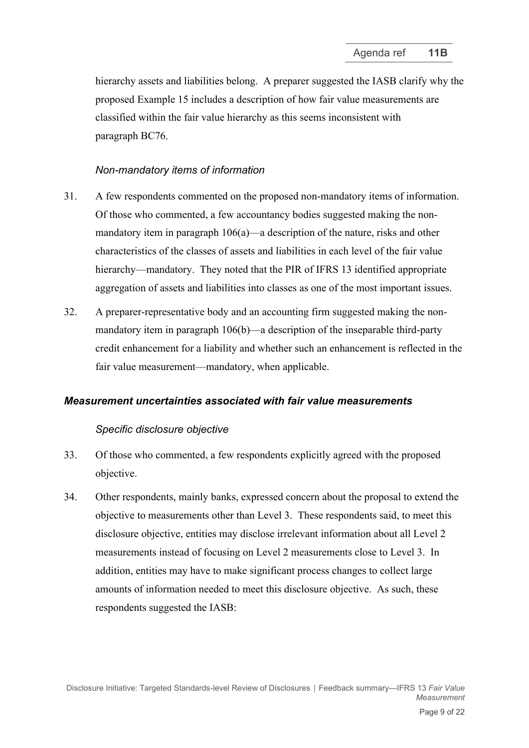hierarchy assets and liabilities belong. A preparer suggested the IASB clarify why the proposed Example 15 includes a description of how fair value measurements are classified within the fair value hierarchy as this seems inconsistent with paragraph BC76.

### *Non-mandatory items of information*

- 31. A few respondents commented on the proposed non-mandatory items of information. Of those who commented, a few accountancy bodies suggested making the nonmandatory item in paragraph 106(a)—a description of the nature, risks and other characteristics of the classes of assets and liabilities in each level of the fair value hierarchy—mandatory. They noted that the PIR of IFRS 13 identified appropriate aggregation of assets and liabilities into classes as one of the most important issues.
- <span id="page-8-0"></span>32. A preparer-representative body and an accounting firm suggested making the nonmandatory item in paragraph 106(b)—a description of the inseparable third-party credit enhancement for a liability and whether such an enhancement is reflected in the fair value measurement—mandatory, when applicable.

### *Measurement uncertainties associated with fair value measurements*

### *Specific disclosure objective*

- <span id="page-8-1"></span>33. Of those who commented, a few respondents explicitly agreed with the proposed objective.
- 34. Other respondents, mainly banks, expressed concern about the proposal to extend the objective to measurements other than Level 3. These respondents said, to meet this disclosure objective, entities may disclose irrelevant information about all Level 2 measurements instead of focusing on Level 2 measurements close to Level 3. In addition, entities may have to make significant process changes to collect large amounts of information needed to meet this disclosure objective. As such, these respondents suggested the IASB: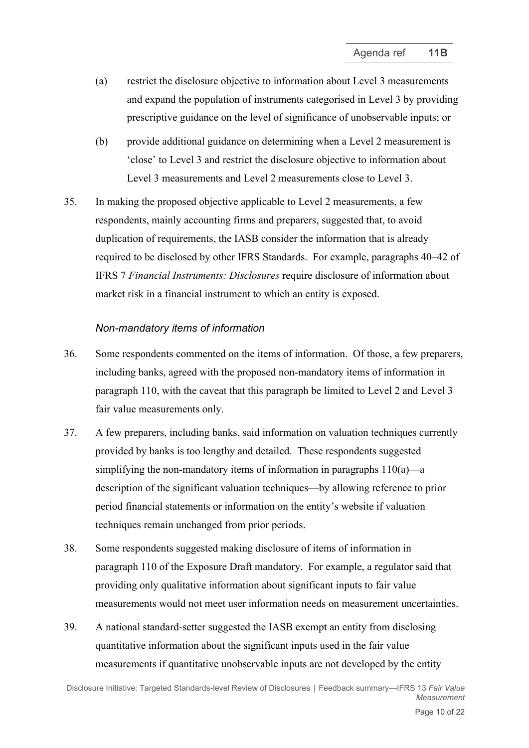- (a) restrict the disclosure objective to information about Level 3 measurements and expand the population of instruments categorised in Level 3 by providing prescriptive guidance on the level of significance of unobservable inputs; or
- (b) provide additional guidance on determining when a Level 2 measurement is 'close' to Level 3 and restrict the disclosure objective to information about Level 3 measurements and Level 2 measurements close to Level 3.
- 35. In making the proposed objective applicable to Level 2 measurements, a few respondents, mainly accounting firms and preparers, suggested that, to avoid duplication of requirements, the IASB consider the information that is already required to be disclosed by other IFRS Standards. For example, paragraphs 40–42 of IFRS 7 *Financial Instruments: Disclosures* require disclosure of information about market risk in a financial instrument to which an entity is exposed.

### *Non-mandatory items of information*

- 36. Some respondents commented on the items of information. Of those, a few preparers, including banks, agreed with the proposed non-mandatory items of information in paragraph 110, with the caveat that this paragraph be limited to Level 2 and Level 3 fair value measurements only.
- 37. A few preparers, including banks, said information on valuation techniques currently provided by banks is too lengthy and detailed. These respondents suggested simplifying the non-mandatory items of information in paragraphs  $110(a)$ —a description of the significant valuation techniques—by allowing reference to prior period financial statements or information on the entity's website if valuation techniques remain unchanged from prior periods.
- 38. Some respondents suggested making disclosure of items of information in paragraph 110 of the Exposure Draft mandatory. For example, a regulator said that providing only qualitative information about significant inputs to fair value measurements would not meet user information needs on measurement uncertainties.
- 39. A national standard-setter suggested the IASB exempt an entity from disclosing quantitative information about the significant inputs used in the fair value measurements if quantitative unobservable inputs are not developed by the entity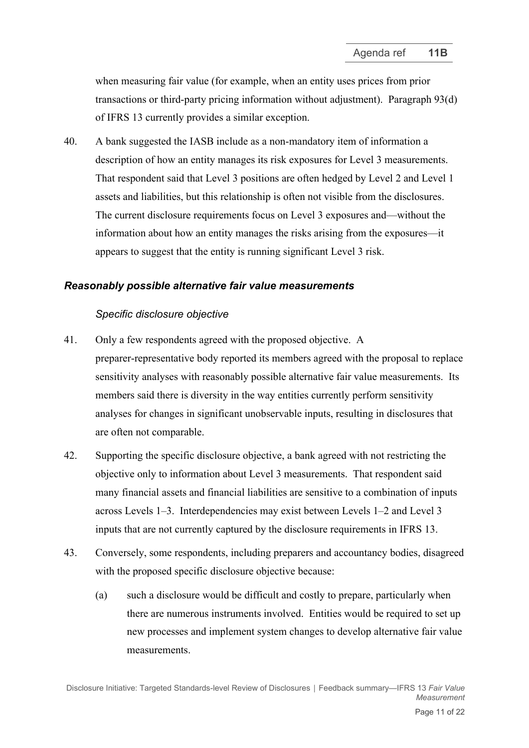when measuring fair value (for example, when an entity uses prices from prior transactions or third‑party pricing information without adjustment). Paragraph 93(d) of IFRS 13 currently provides a similar exception.

<span id="page-10-0"></span>40. A bank suggested the IASB include as a non-mandatory item of information a description of how an entity manages its risk exposures for Level 3 measurements. That respondent said that Level 3 positions are often hedged by Level 2 and Level 1 assets and liabilities, but this relationship is often not visible from the disclosures. The current disclosure requirements focus on Level 3 exposures and—without the information about how an entity manages the risks arising from the exposures—it appears to suggest that the entity is running significant Level 3 risk.

### *Reasonably possible alternative fair value measurements*

### *Specific disclosure objective*

- <span id="page-10-1"></span>41. Only a few respondents agreed with the proposed objective. A preparer-representative body reported its members agreed with the proposal to replace sensitivity analyses with reasonably possible alternative fair value measurements. Its members said there is diversity in the way entities currently perform sensitivity analyses for changes in significant unobservable inputs, resulting in disclosures that are often not comparable.
- 42. Supporting the specific disclosure objective, a bank agreed with not restricting the objective only to information about Level 3 measurements. That respondent said many financial assets and financial liabilities are sensitive to a combination of inputs across Levels 1–3. Interdependencies may exist between Levels 1–2 and Level 3 inputs that are not currently captured by the disclosure requirements in IFRS 13.
- 43. Conversely, some respondents, including preparers and accountancy bodies, disagreed with the proposed specific disclosure objective because:
	- (a) such a disclosure would be difficult and costly to prepare, particularly when there are numerous instruments involved. Entities would be required to set up new processes and implement system changes to develop alternative fair value measurements.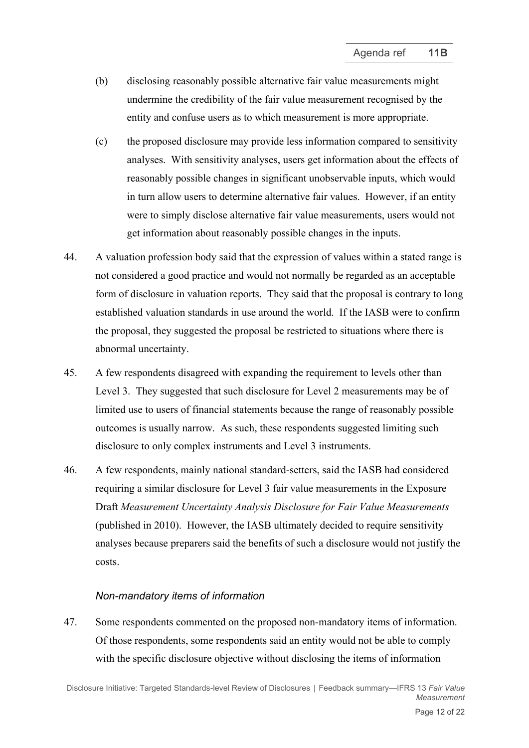- (b) disclosing reasonably possible alternative fair value measurements might undermine the credibility of the fair value measurement recognised by the entity and confuse users as to which measurement is more appropriate.
- (c) the proposed disclosure may provide less information compared to sensitivity analyses. With sensitivity analyses, users get information about the effects of reasonably possible changes in significant unobservable inputs, which would in turn allow users to determine alternative fair values. However, if an entity were to simply disclose alternative fair value measurements, users would not get information about reasonably possible changes in the inputs.
- 44. A valuation profession body said that the expression of values within a stated range is not considered a good practice and would not normally be regarded as an acceptable form of disclosure in valuation reports. They said that the proposal is contrary to long established valuation standards in use around the world. If the IASB were to confirm the proposal, they suggested the proposal be restricted to situations where there is abnormal uncertainty.
- 45. A few respondents disagreed with expanding the requirement to levels other than Level 3. They suggested that such disclosure for Level 2 measurements may be of limited use to users of financial statements because the range of reasonably possible outcomes is usually narrow. As such, these respondents suggested limiting such disclosure to only complex instruments and Level 3 instruments.
- 46. A few respondents, mainly national standard-setters, said the IASB had considered requiring a similar disclosure for Level 3 fair value measurements in the Exposure Draft *Measurement Uncertainty Analysis Disclosure for Fair Value Measurements*  (published in 2010). However, the IASB ultimately decided to require sensitivity analyses because preparers said the benefits of such a disclosure would not justify the costs.

#### *Non-mandatory items of information*

47. Some respondents commented on the proposed non-mandatory items of information. Of those respondents, some respondents said an entity would not be able to comply with the specific disclosure objective without disclosing the items of information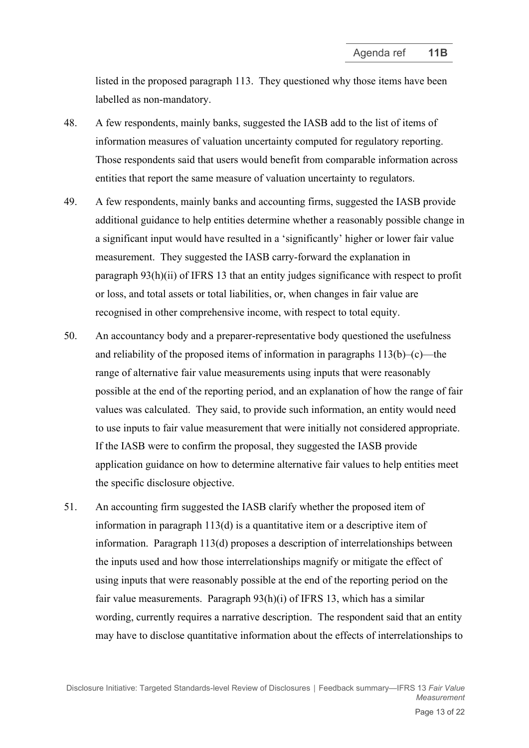listed in the proposed paragraph 113. They questioned why those items have been labelled as non-mandatory.

- 48. A few respondents, mainly banks, suggested the IASB add to the list of items of information measures of valuation uncertainty computed for regulatory reporting. Those respondents said that users would benefit from comparable information across entities that report the same measure of valuation uncertainty to regulators.
- 49. A few respondents, mainly banks and accounting firms, suggested the IASB provide additional guidance to help entities determine whether a reasonably possible change in a significant input would have resulted in a 'significantly' higher or lower fair value measurement. They suggested the IASB carry-forward the explanation in paragraph 93(h)(ii) of IFRS 13 that an entity judges significance with respect to profit or loss, and total assets or total liabilities, or, when changes in fair value are recognised in other comprehensive income, with respect to total equity.
- 50. An accountancy body and a preparer-representative body questioned the usefulness and reliability of the proposed items of information in paragraphs  $113(b)$ –(c)–the range of alternative fair value measurements using inputs that were reasonably possible at the end of the reporting period, and an explanation of how the range of fair values was calculated. They said, to provide such information, an entity would need to use inputs to fair value measurement that were initially not considered appropriate. If the IASB were to confirm the proposal, they suggested the IASB provide application guidance on how to determine alternative fair values to help entities meet the specific disclosure objective.
- 51. An accounting firm suggested the IASB clarify whether the proposed item of information in paragraph 113(d) is a quantitative item or a descriptive item of information. Paragraph 113(d) proposes a description of interrelationships between the inputs used and how those interrelationships magnify or mitigate the effect of using inputs that were reasonably possible at the end of the reporting period on the fair value measurements. Paragraph 93(h)(i) of IFRS 13, which has a similar wording, currently requires a narrative description. The respondent said that an entity may have to disclose quantitative information about the effects of interrelationships to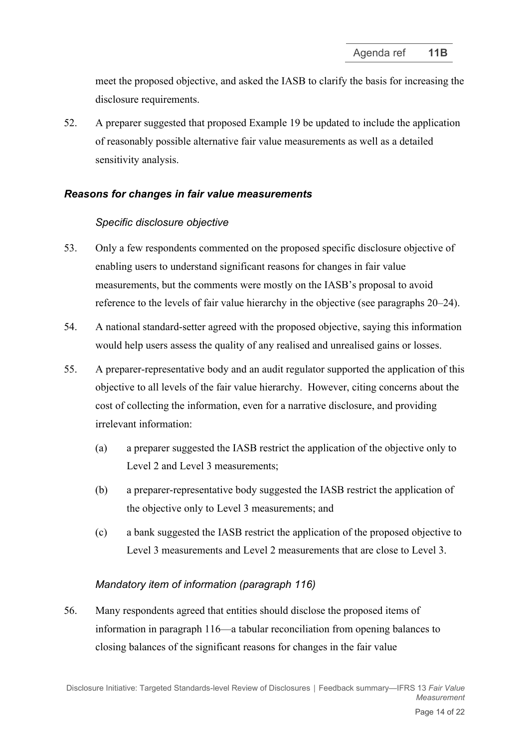meet the proposed objective, and asked the IASB to clarify the basis for increasing the disclosure requirements.

<span id="page-13-0"></span>52. A preparer suggested that proposed Example 19 be updated to include the application of reasonably possible alternative fair value measurements as well as a detailed sensitivity analysis.

# *Reasons for changes in fair value measurements*

### *Specific disclosure objective*

- <span id="page-13-1"></span>53. Only a few respondents commented on the proposed specific disclosure objective of enabling users to understand significant reasons for changes in fair value measurements, but the comments were mostly on the IASB's proposal to avoid reference to the levels of fair value hierarchy in the objective (see paragraphs [20–](#page-4-1)[24\)](#page-5-0).
- 54. A national standard-setter agreed with the proposed objective, saying this information would help users assess the quality of any realised and unrealised gains or losses.
- 55. A preparer-representative body and an audit regulator supported the application of this objective to all levels of the fair value hierarchy. However, citing concerns about the cost of collecting the information, even for a narrative disclosure, and providing irrelevant information:
	- (a) a preparer suggested the IASB restrict the application of the objective only to Level 2 and Level 3 measurements;
	- (b) a preparer-representative body suggested the IASB restrict the application of the objective only to Level 3 measurements; and
	- (c) a bank suggested the IASB restrict the application of the proposed objective to Level 3 measurements and Level 2 measurements that are close to Level 3.

### *Mandatory item of information (paragraph 116)*

56. Many respondents agreed that entities should disclose the proposed items of information in paragraph 116—a tabular reconciliation from opening balances to closing balances of the significant reasons for changes in the fair value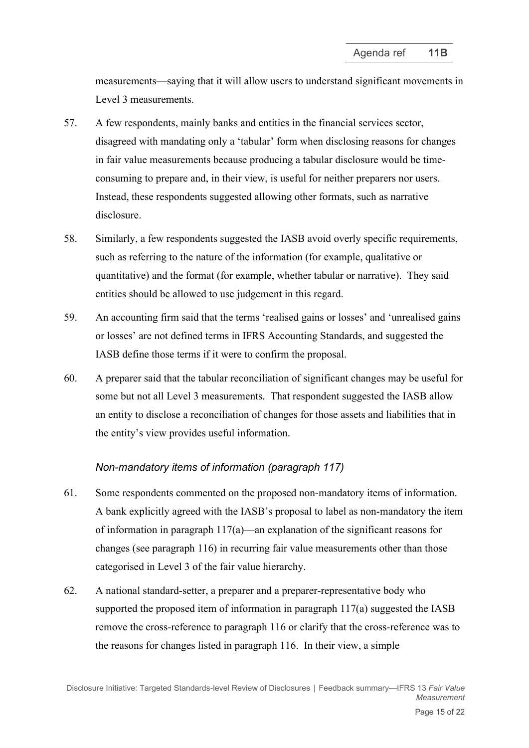measurements—saying that it will allow users to understand significant movements in Level 3 measurements.

- 57. A few respondents, mainly banks and entities in the financial services sector, disagreed with mandating only a 'tabular' form when disclosing reasons for changes in fair value measurements because producing a tabular disclosure would be timeconsuming to prepare and, in their view, is useful for neither preparers nor users. Instead, these respondents suggested allowing other formats, such as narrative disclosure.
- 58. Similarly, a few respondents suggested the IASB avoid overly specific requirements, such as referring to the nature of the information (for example, qualitative or quantitative) and the format (for example, whether tabular or narrative). They said entities should be allowed to use judgement in this regard.
- 59. An accounting firm said that the terms 'realised gains or losses' and 'unrealised gains or losses' are not defined terms in IFRS Accounting Standards, and suggested the IASB define those terms if it were to confirm the proposal.
- 60. A preparer said that the tabular reconciliation of significant changes may be useful for some but not all Level 3 measurements. That respondent suggested the IASB allow an entity to disclose a reconciliation of changes for those assets and liabilities that in the entity's view provides useful information.

# *Non-mandatory items of information (paragraph 117)*

- 61. Some respondents commented on the proposed non-mandatory items of information. A bank explicitly agreed with the IASB's proposal to label as non-mandatory the item of information in paragraph 117(a)—an explanation of the significant reasons for changes (see paragraph 116) in recurring fair value measurements other than those categorised in Level 3 of the fair value hierarchy.
- 62. A national standard-setter, a preparer and a preparer-representative body who supported the proposed item of information in paragraph 117(a) suggested the IASB remove the cross-reference to paragraph 116 or clarify that the cross-reference was to the reasons for changes listed in paragraph 116. In their view, a simple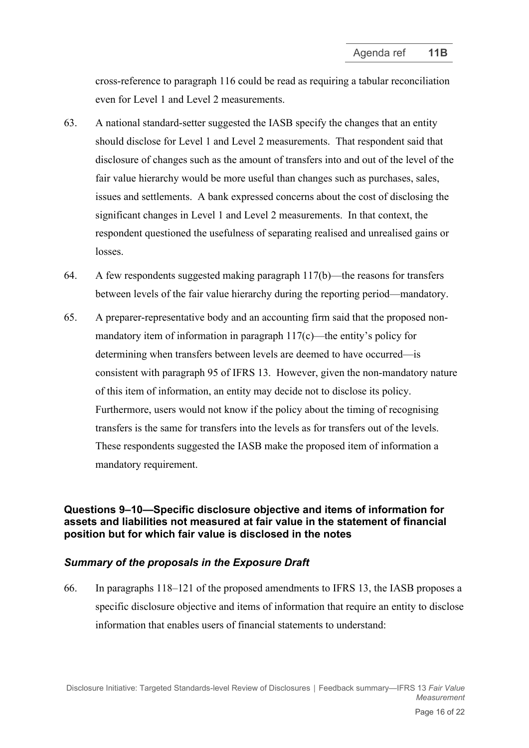cross-reference to paragraph 116 could be read as requiring a tabular reconciliation even for Level 1 and Level 2 measurements.

- 63. A national standard-setter suggested the IASB specify the changes that an entity should disclose for Level 1 and Level 2 measurements. That respondent said that disclosure of changes such as the amount of transfers into and out of the level of the fair value hierarchy would be more useful than changes such as purchases, sales, issues and settlements. A bank expressed concerns about the cost of disclosing the significant changes in Level 1 and Level 2 measurements. In that context, the respondent questioned the usefulness of separating realised and unrealised gains or losses.
- 64. A few respondents suggested making paragraph 117(b)—the reasons for transfers between levels of the fair value hierarchy during the reporting period—mandatory.
- <span id="page-15-0"></span>65. A preparer-representative body and an accounting firm said that the proposed nonmandatory item of information in paragraph  $117(c)$ —the entity's policy for determining when transfers between levels are deemed to have occurred—is consistent with paragraph 95 of IFRS 13. However, given the non-mandatory nature of this item of information, an entity may decide not to disclose its policy. Furthermore, users would not know if the policy about the timing of recognising transfers is the same for transfers into the levels as for transfers out of the levels. These respondents suggested the IASB make the proposed item of information a mandatory requirement.

### **Questions 9–10—Specific disclosure objective and items of information for assets and liabilities not measured at fair value in the statement of financial position but for which fair value is disclosed in the notes**

# *Summary of the proposals in the Exposure Draft*

<span id="page-15-1"></span>66. In paragraphs 118–121 of the proposed amendments to IFRS 13, the IASB proposes a specific disclosure objective and items of information that require an entity to disclose information that enables users of financial statements to understand: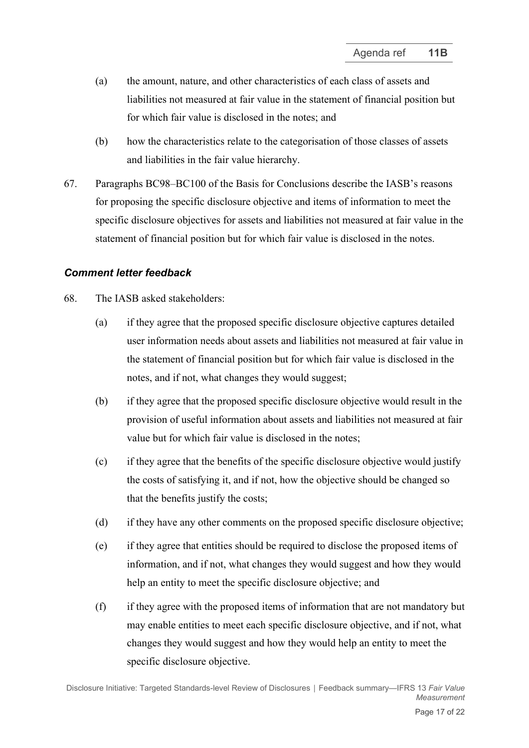- (a) the amount, nature, and other characteristics of each class of assets and liabilities not measured at fair value in the statement of financial position but for which fair value is disclosed in the notes; and
- (b) how the characteristics relate to the categorisation of those classes of assets and liabilities in the fair value hierarchy.
- 67. Paragraphs BC98–BC100 of the Basis for Conclusions describe the IASB's reasons for proposing the specific disclosure objective and items of information to meet the specific disclosure objectives for assets and liabilities not measured at fair value in the statement of financial position but for which fair value is disclosed in the notes.

# *Comment letter feedback*

- 68. The IASB asked stakeholders:
	- (a) if they agree that the proposed specific disclosure objective captures detailed user information needs about assets and liabilities not measured at fair value in the statement of financial position but for which fair value is disclosed in the notes, and if not, what changes they would suggest;
	- (b) if they agree that the proposed specific disclosure objective would result in the provision of useful information about assets and liabilities not measured at fair value but for which fair value is disclosed in the notes;
	- (c) if they agree that the benefits of the specific disclosure objective would justify the costs of satisfying it, and if not, how the objective should be changed so that the benefits justify the costs;
	- (d) if they have any other comments on the proposed specific disclosure objective;
	- (e) if they agree that entities should be required to disclose the proposed items of information, and if not, what changes they would suggest and how they would help an entity to meet the specific disclosure objective; and
	- (f) if they agree with the proposed items of information that are not mandatory but may enable entities to meet each specific disclosure objective, and if not, what changes they would suggest and how they would help an entity to meet the specific disclosure objective.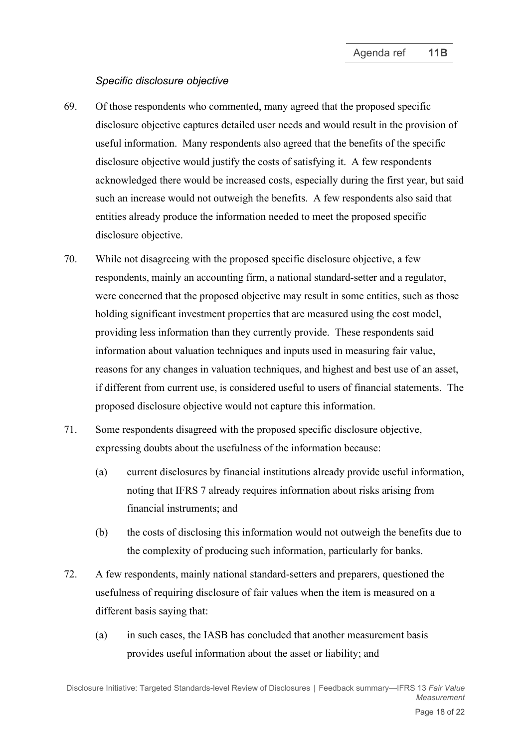### *Specific disclosure objective*

- 69. Of those respondents who commented, many agreed that the proposed specific disclosure objective captures detailed user needs and would result in the provision of useful information. Many respondents also agreed that the benefits of the specific disclosure objective would justify the costs of satisfying it. A few respondents acknowledged there would be increased costs, especially during the first year, but said such an increase would not outweigh the benefits. A few respondents also said that entities already produce the information needed to meet the proposed specific disclosure objective.
- 70. While not disagreeing with the proposed specific disclosure objective, a few respondents, mainly an accounting firm, a national standard-setter and a regulator, were concerned that the proposed objective may result in some entities, such as those holding significant investment properties that are measured using the cost model, providing less information than they currently provide. These respondents said information about valuation techniques and inputs used in measuring fair value, reasons for any changes in valuation techniques, and highest and best use of an asset, if different from current use, is considered useful to users of financial statements. The proposed disclosure objective would not capture this information.
- 71. Some respondents disagreed with the proposed specific disclosure objective, expressing doubts about the usefulness of the information because:
	- (a) current disclosures by financial institutions already provide useful information, noting that IFRS 7 already requires information about risks arising from financial instruments; and
	- (b) the costs of disclosing this information would not outweigh the benefits due to the complexity of producing such information, particularly for banks.
- 72. A few respondents, mainly national standard-setters and preparers, questioned the usefulness of requiring disclosure of fair values when the item is measured on a different basis saying that:
	- (a) in such cases, the IASB has concluded that another measurement basis provides useful information about the asset or liability; and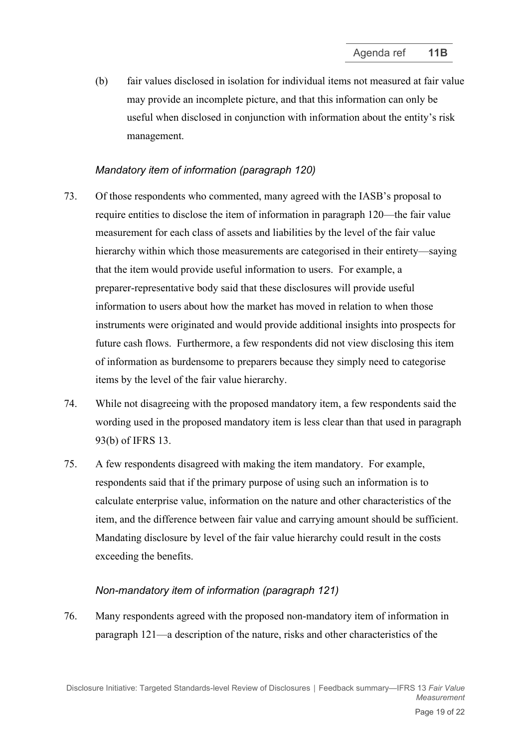(b) fair values disclosed in isolation for individual items not measured at fair value may provide an incomplete picture, and that this information can only be useful when disclosed in conjunction with information about the entity's risk management.

### *Mandatory item of information (paragraph 120)*

- 73. Of those respondents who commented, many agreed with the IASB's proposal to require entities to disclose the item of information in paragraph 120—the fair value measurement for each class of assets and liabilities by the level of the fair value hierarchy within which those measurements are categorised in their entirety—saying that the item would provide useful information to users. For example, a preparer-representative body said that these disclosures will provide useful information to users about how the market has moved in relation to when those instruments were originated and would provide additional insights into prospects for future cash flows. Furthermore, a few respondents did not view disclosing this item of information as burdensome to preparers because they simply need to categorise items by the level of the fair value hierarchy.
- 74. While not disagreeing with the proposed mandatory item, a few respondents said the wording used in the proposed mandatory item is less clear than that used in paragraph 93(b) of IFRS 13.
- 75. A few respondents disagreed with making the item mandatory. For example, respondents said that if the primary purpose of using such an information is to calculate enterprise value, information on the nature and other characteristics of the item, and the difference between fair value and carrying amount should be sufficient. Mandating disclosure by level of the fair value hierarchy could result in the costs exceeding the benefits.

### *Non-mandatory item of information (paragraph 121)*

76. Many respondents agreed with the proposed non-mandatory item of information in paragraph 121—a description of the nature, risks and other characteristics of the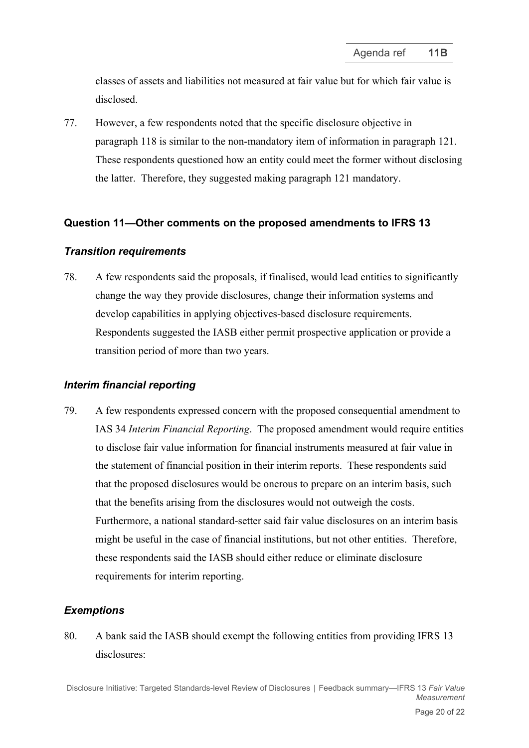classes of assets and liabilities not measured at fair value but for which fair value is disclosed.

<span id="page-19-0"></span>77. However, a few respondents noted that the specific disclosure objective in paragraph 118 is similar to the non-mandatory item of information in paragraph 121. These respondents questioned how an entity could meet the former without disclosing the latter. Therefore, they suggested making paragraph 121 mandatory.

# **Question 11—Other comments on the proposed amendments to IFRS 13**

### *Transition requirements*

<span id="page-19-1"></span>78. A few respondents said the proposals, if finalised, would lead entities to significantly change the way they provide disclosures, change their information systems and develop capabilities in applying objectives-based disclosure requirements. Respondents suggested the IASB either permit prospective application or provide a transition period of more than two years.

# *Interim financial reporting*

79. A few respondents expressed concern with the proposed consequential amendment to IAS 34 *Interim Financial Reporting*. The proposed amendment would require entities to disclose fair value information for financial instruments measured at fair value in the statement of financial position in their interim reports. These respondents said that the proposed disclosures would be onerous to prepare on an interim basis, such that the benefits arising from the disclosures would not outweigh the costs. Furthermore, a national standard-setter said fair value disclosures on an interim basis might be useful in the case of financial institutions, but not other entities. Therefore, these respondents said the IASB should either reduce or eliminate disclosure requirements for interim reporting.

# *Exemptions*

80. A bank said the IASB should exempt the following entities from providing IFRS 13 disclosures:

Disclosure Initiative: Targeted Standards-level Review of Disclosures **│** Feedback summary—IFRS 13 *Fair Value Measurement*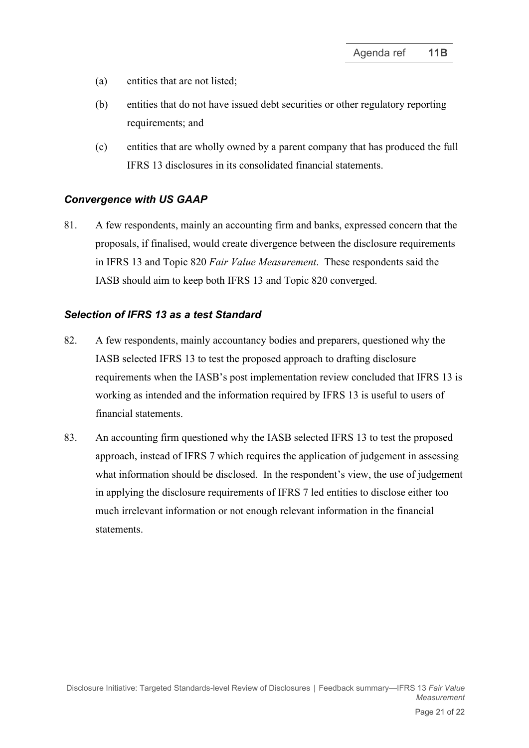- (a) entities that are not listed;
- (b) entities that do not have issued debt securities or other regulatory reporting requirements; and
- (c) entities that are wholly owned by a parent company that has produced the full IFRS 13 disclosures in its consolidated financial statements.

# *Convergence with US GAAP*

81. A few respondents, mainly an accounting firm and banks, expressed concern that the proposals, if finalised, would create divergence between the disclosure requirements in IFRS 13 and Topic 820 *Fair Value Measurement*. These respondents said the IASB should aim to keep both IFRS 13 and Topic 820 converged.

### *Selection of IFRS 13 as a test Standard*

- 82. A few respondents, mainly accountancy bodies and preparers, questioned why the IASB selected IFRS 13 to test the proposed approach to drafting disclosure requirements when the IASB's post implementation review concluded that IFRS 13 is working as intended and the information required by IFRS 13 is useful to users of financial statements.
- <span id="page-20-0"></span>83. An accounting firm questioned why the IASB selected IFRS 13 to test the proposed approach, instead of IFRS 7 which requires the application of judgement in assessing what information should be disclosed. In the respondent's view, the use of judgement in applying the disclosure requirements of IFRS 7 led entities to disclose either too much irrelevant information or not enough relevant information in the financial statements.